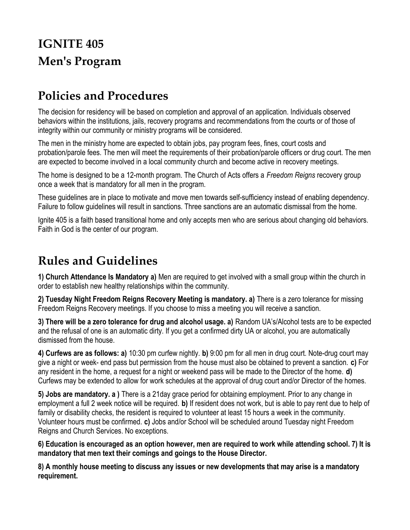# **IGNITE 405 Men's Program**

#### **Policies and Procedures**

The decision for residency will be based on completion and approval of an application. Individuals observed behaviors within the institutions, jails, recovery programs and recommendations from the courts or of those of integrity within our community or ministry programs will be considered.

The men in the ministry home are expected to obtain jobs, pay program fees, fines, court costs and probation/parole fees. The men will meet the requirements of their probation/parole officers or drug court. The men are expected to become involved in a local community church and become active in recovery meetings.

The home is designed to be a 12-month program. The Church of Acts offers a *Freedom Reigns* recovery group once a week that is mandatory for all men in the program.

These guidelines are in place to motivate and move men towards self-sufficiency instead of enabling dependency. Failure to follow guidelines will result in sanctions. Three sanctions are an automatic dismissal from the home.

Ignite 405 is a faith based transitional home and only accepts men who are serious about changing old behaviors. Faith in God is the center of our program.

#### **Rules and Guidelines**

**1) Church Attendance Is Mandatory a)** Men are required to get involved with a small group within the church in order to establish new healthy relationships within the community.

**2) Tuesday Night Freedom Reigns Recovery Meeting is mandatory. a)** There is a zero tolerance for missing Freedom Reigns Recovery meetings. If you choose to miss a meeting you will receive a sanction.

**3) There will be a zero tolerance for drug and alcohol usage. a)** Random UA's/Alcohol tests are to be expected and the refusal of one is an automatic dirty. If you get a confirmed dirty UA or alcohol, you are automatically dismissed from the house.

**4) Curfews are as follows: a)** 10:30 pm curfew nightly. **b)** 9:00 pm for all men in drug court. Note-drug court may give a night or week- end pass but permission from the house must also be obtained to prevent a sanction. **c)** For any resident in the home, a request for a night or weekend pass will be made to the Director of the home. **d)**  Curfews may be extended to allow for work schedules at the approval of drug court and/or Director of the homes.

**5) Jobs are mandatory. a )** There is a 21day grace period for obtaining employment. Prior to any change in employment a full 2 week notice will be required. **b)** If resident does not work, but is able to pay rent due to help of family or disability checks, the resident is required to volunteer at least 15 hours a week in the community. Volunteer hours must be confirmed. **c)** Jobs and/or School will be scheduled around Tuesday night Freedom Reigns and Church Services. No exceptions.

**6) Education is encouraged as an option however, men are required to work while attending school. 7) It is mandatory that men text their comings and goings to the House Director.** 

**8) A monthly house meeting to discuss any issues or new developments that may arise is a mandatory requirement.**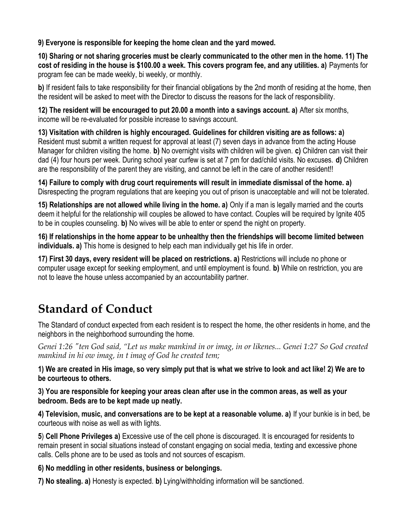**9) Everyone is responsible for keeping the home clean and the yard mowed.** 

**10) Sharing or not sharing groceries must be clearly communicated to the other men in the home. 11) The cost of residing in the house is \$100.00 a week. This covers program fee, and any utilities. a)** Payments for program fee can be made weekly, bi weekly, or monthly.

**b)** If resident fails to take responsibility for their financial obligations by the 2nd month of residing at the home, then the resident will be asked to meet with the Director to discuss the reasons for the lack of responsibility.

**12) The resident will be encouraged to put 20.00 a month into a savings account. a)** After six months, income will be re-evaluated for possible increase to savings account.

**13) Visitation with children is highly encouraged. Guidelines for children visiting are as follows: a)**  Resident must submit a written request for approval at least (7) seven days in advance from the acting House Manager for children visiting the home. **b)** No overnight visits with children will be given. **c)** Children can visit their dad (4) four hours per week. During school year curfew is set at 7 pm for dad/child visits. No excuses. **d)** Children are the responsibility of the parent they are visiting, and cannot be left in the care of another resident!!

**14) Failure to comply with drug court requirements will result in immediate dismissal of the home. a)**  Disrespecting the program regulations that are keeping you out of prison is unacceptable and will not be tolerated.

**15) Relationships are not allowed while living in the home. a)** Only if a man is legally married and the courts deem it helpful for the relationship will couples be allowed to have contact. Couples will be required by Ignite 405 to be in couples counseling. **b)** No wives will be able to enter or spend the night on property.

**16) If relationships in the home appear to be unhealthy then the friendships will become limited between individuals. a)** This home is designed to help each man individually get his life in order.

**17) First 30 days, every resident will be placed on restrictions. a)** Restrictions will include no phone or computer usage except for seeking employment, and until employment is found. **b)** While on restriction, you are not to leave the house unless accompanied by an accountability partner.

## **Standard of Conduct**

The Standard of conduct expected from each resident is to respect the home, the other residents in home, and the neighbors in the neighborhood surrounding the home.

*Genei 1:26 "ten God said, "Let us make mankind in or imag, in or likenes... Genei 1:27 So God created mankind in hi ow imag, in t imag of God he created tem;* 

**1) We are created in His image, so very simply put that is what we strive to look and act like! 2) We are to be courteous to others.** 

**3) You are responsible for keeping your areas clean after use in the common areas, as well as your bedroom. Beds are to be kept made up neatly.** 

**4) Television, music, and conversations are to be kept at a reasonable volume. a)** If your bunkie is in bed, be courteous with noise as well as with lights.

**5**) **Cell Phone Privileges a)** Excessive use of the cell phone is discouraged. It is encouraged for residents to remain present in social situations instead of constant engaging on social media, texting and excessive phone calls. Cells phone are to be used as tools and not sources of escapism.

#### **6) No meddling in other residents, business or belongings.**

**7) No stealing. a)** Honesty is expected. **b)** Lying/withholding information will be sanctioned.